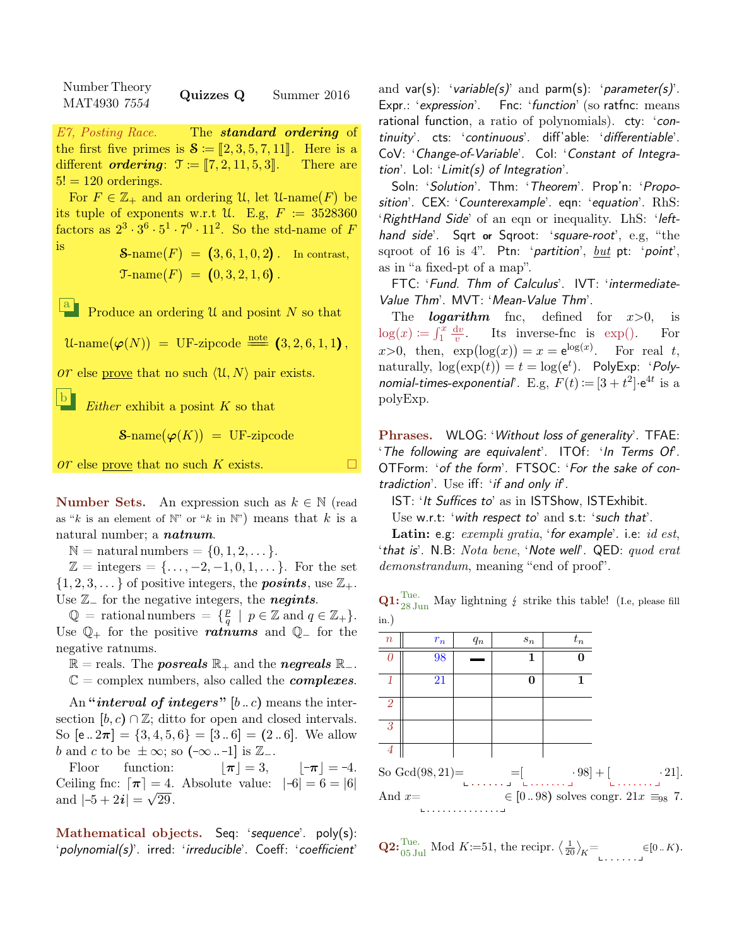Number Theory  $\frac{1}{\text{MAT4930}}$   $\frac{7554}{7554}$  Quizzes Q Summer 2016

E7, Posting Race. The **standard ordering** of the first five primes is  $S := [2, 3, 5, 7, 11]$ . Here is a different *ordering*:  $\mathcal{T} := [7, 2, 11, 5, 3]$ . There are different *ordering*:  $\mathcal{T} \coloneqq [7, 2, 11, 5, 3]$ .  $5! = 120$  orderings.

For  $F \in \mathbb{Z}_+$  and an ordering U, let U-name $(F)$  be its tuple of exponents w.r.t U. E.g,  $F = 3528360$ factors as  $2^3 \cdot 3^6 \cdot 5^1 \cdot 7^0 \cdot 11^2$ . So the std-name of F

is  $\mathcal{S}\text{-name}(F) = (3, 6, 1, 0, 2)$ . In contrast,  $\mathfrak{T}\text{-name}(F) = (0, 3, 2, 1, 6).$ 

<sup>a</sup> Produce an ordering U and posint N so that

 $\mathcal{U}\text{-name}(\boldsymbol{\varphi}(N)) = \text{UF-zipcode} \stackrel{\text{note}}{=} (3, 2, 6, 1, 1),$ 

or else prove that no such  $\langle \mathcal{U}, N \rangle$  pair exists.

b Either exhibit a posint  $K$  so that

 $\mathbf{S}\text{-name}(\boldsymbol{\varphi}(K)) = \text{UF-zipcode}$ 

 $\overline{or}$  else prove that no such K exists.

**Number Sets.** An expression such as  $k \in \mathbb{N}$  (read as "k is an element of  $\mathbb{N}$ " or "k in  $\mathbb{N}$ ") means that k is a natural number; a *natnum*.

 $\mathbb{N} =$  natural numbers  $= \{0, 1, 2, \dots\}.$ 

 $\mathbb{Z} = \text{integers} = {\ldots, -2, -1, 0, 1, \ldots}.$  For the set  $\{1, 2, 3, \dots\}$  of positive integers, the **posints**, use  $\mathbb{Z}_+$ . Use  $\mathbb{Z}_-$  for the negative integers, the **negints**.

 $\mathbb{Q}$  = rational numbers =  $\{ \frac{p}{q} \}$  $\frac{p}{q} \mid p \in \mathbb{Z}$  and  $q \in \mathbb{Z}_+$ . Use  $\mathbb{Q}_+$  for the positive rations and  $\mathbb{Q}_-$  for the negative ratnums.

 $\mathbb{R} =$  reals. The *posreals*  $\mathbb{R}_+$  and the *negreals*  $\mathbb{R}_-$ .

 $\mathbb{C} =$  complex numbers, also called the *complexes*.

An "interval of integers"  $[b.. c)$  means the intersection  $[b, c) \cap \mathbb{Z}$ ; ditto for open and closed intervals. So  $[e \cdot 2\pi] = \{3, 4, 5, 6\} = [3 \cdot 6] = (2 \cdot 6]$ . We allow b and c to be  $\pm \infty$ ; so  $(-\infty -1]$  is  $\mathbb{Z}_-$ .

Floor function:  $|\pi| = 3$ ,  $|\pi| = -4$ . Ceiling fnc:  $\lceil \pi \rceil = 4$ . Absolute value:  $|-6| = 6 = |6|$ and  $|-5 + 2i| = \sqrt{29}$ .

Mathematical objects. Seq: 'sequence'. poly(s): 'polynomial(s)'. irred: 'irreducible'. Coeff: 'coefficient'

and var(s): 'variable(s)' and parm(s): 'parameter(s)'. Expr.: 'expression'. Fnc: 'function' (so ratfnc: means rational function, a ratio of polynomials). cty: 'continuity'. cts: 'continuous'. diff'able: 'differentiable'. CoV: 'Change-of-Variable'. CoI: 'Constant of Integration'. LoI: 'Limit(s) of Integration'.

Soln: 'Solution'. Thm: 'Theorem'. Prop'n: 'Proposition'. CEX: 'Counterexample'. eqn: 'equation'. RhS: 'RightHand Side' of an eqn or inequality. LhS: 'lefthand side'. Sqrt or Sqroot: 'square-root', e.g, "the sqroot of 16 is 4". Ptn: 'partition',  $but$  pt: 'point', as in "a fixed-pt of a map".

FTC: 'Fund. Thm of Calculus'. IVT: 'intermediate-Value Thm'. MVT: 'Mean-Value Thm'.

The *logarithm* fnc, defined for  $x>0$ , is  $log(x) \coloneqq \int_1^x \frac{\mathrm{d}v}{v}$  $\overline{v}$ . Its inverse-fnc is exp(). For  $x>0$ , then,  $\exp(\log(x)) = x = e^{\log(x)}$ . For real t, naturally,  $\log(\exp(t)) = t = \log(e^t)$ . PolyExp: 'Polynomial-times-exponential'. E.g,  $F(t) := [3 + t^2] \cdot e^{4t}$  is a polyExp.

Phrases. WLOG: 'Without loss of generality'. TFAE: 'The following are equivalent'. ITOf: 'In Terms Of'. OTForm: 'of the form'. FTSOC: 'For the sake of contradiction'. Use iff: 'if and only if'.

IST: 'It Suffices to' as in ISTShow, ISTExhibit.

Use w.r.t: 'with respect to' and s.t: 'such that'.

Latin: e.g:  $exempli$  gratia, 'for example'. i.e:  $id$  est, 'that is'. N.B: Nota bene, 'Note well'. QED: quod erat demonstrandum, meaning "end of proof".

**Q1:**  $_{28 \text{ Jun}}^{\text{Tue.}}$  May lightning  $\frac{1}{2}$  strike this table! (I.e, please fill in.)

| $\boldsymbol{n}$   | $r_n$ | $q_n$ | $s_n$                             | $t_n$      |                                                 |
|--------------------|-------|-------|-----------------------------------|------------|-------------------------------------------------|
|                    | 98    |       | 1                                 |            |                                                 |
| -1                 | 21    |       | 0                                 | 1          |                                                 |
| $\overline{2}$     |       |       |                                   |            |                                                 |
| $\overline{3}$     |       |       |                                   |            |                                                 |
| $\overline{4}$     |       |       |                                   |            |                                                 |
| So $Gcd(98, 21) =$ |       |       | $=$<br>Environment Environment of | $-98] + [$ | $\cdot 21$ .<br>La caractería                   |
| And $x=$           |       |       |                                   |            | $\in [098)$ solves congr. $21x \equiv_{98} 7$ . |
|                    |       |       |                                   |            |                                                 |

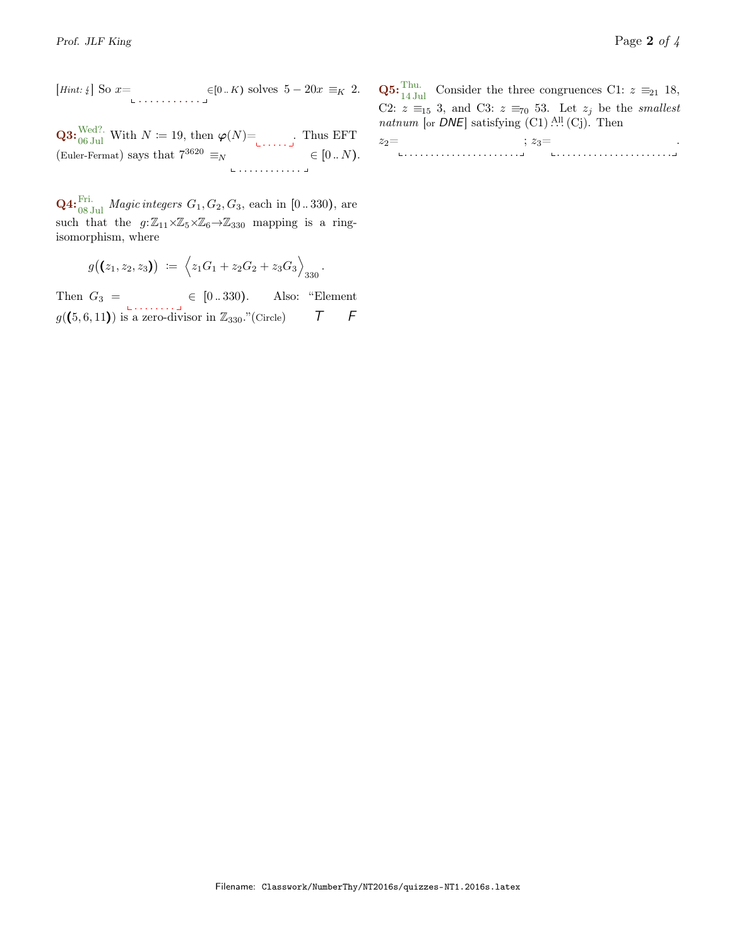[*Hint*: 
$$
\sqrt{ }
$$
] So  $x =$   
 $\in [0..K)$  solves  $5 - 20x \equiv_K 2$ .

**Q3:**  $\frac{\text{Wed?}}{\text{06 Jul}}$  With  $N \coloneqq 19$ , then  $\varphi(N)$ = ...... (Euler-Fermat) says that  $7^{3620} \equiv_N$ . . . . . . . . . . . .  $\in [0..N).$ 

**Q4:**  $_{08 \text{ Jul}}^{\text{Fri.}}$  *Magic integers*  $G_1, G_2, G_3$ , each in [0..330), are such that the  $g:\mathbb{Z}_{11}\times\mathbb{Z}_5\times\mathbb{Z}_6\to\mathbb{Z}_{330}$  mapping is a ringisomorphism, where

$$
g((z_1,z_2,z_3)) := \left\langle z_1G_1 + z_2G_2 + z_3G_3 \right\rangle_{330}.
$$

Then  $G_3 = \begin{bmatrix} 0 & .330 \end{bmatrix}$ . Also: "Element  $g((5,6,11))$  is a zero-divisor in  $\mathbb{Z}_{330}$ ."(Circle)  $\qquad \qquad \mathcal{T} \qquad \mathcal{F}$ 

**Q5:**  $_{14 \text{ Jul}}^{\text{Thu}}$  Consider the three congruences C1:  $z \equiv_{21} 18$ , C2:  $z \equiv_{15} 3$ , and C3:  $z \equiv_{70} 53$ . Let  $z_j$  be the *smallest* natnum [or  $DNE$ ] satisfying  $(C1)$ .<sup>All</sup>.  $(C<sub>j</sub>)$ . Then

 $z_2=$ . . . . . . . . . . . . . . . . . . . . . .  $; z_3=$ . . . . . . . . . . . . . . . . . . . . . . .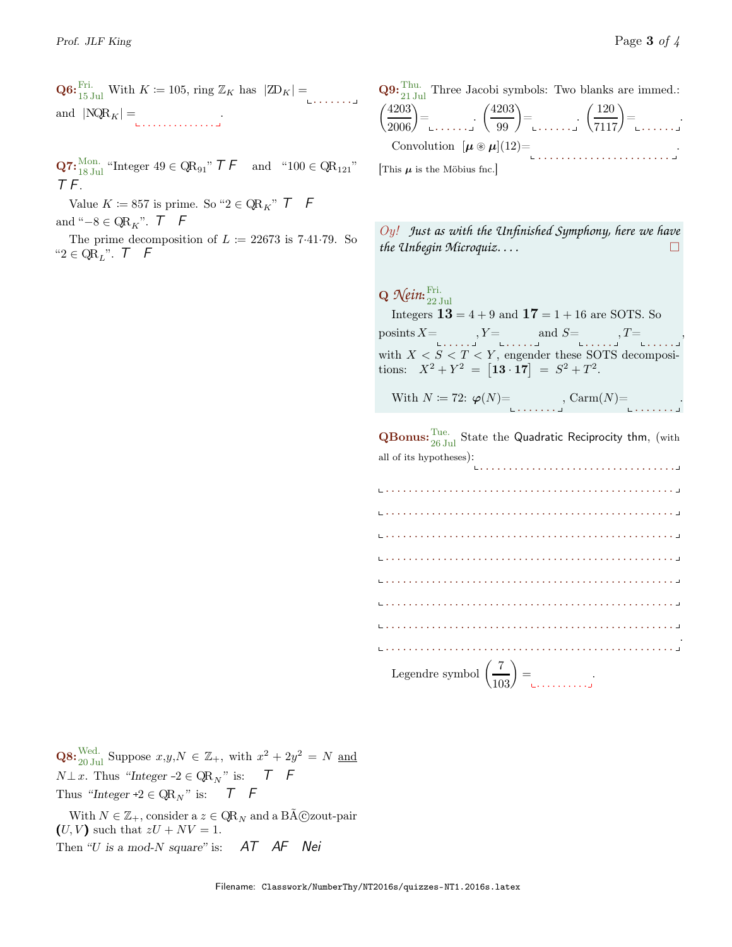**Q6:**  $_{15 \text{ Jul}}^{\text{Fri.}}$  With  $K \coloneqq 105$ , ring  $\mathbb{Z}_K$  has  $|\mathbb{Z}D_K| =$ and  $|NQR_K| =$ .

**Q7:**  ${}_{18 \text{ Jul}}^{Mon.}$  "Integer  $49 \in QR_{91}$ "  $\mathcal{T} \mathcal{F}$  and " $100 \in QR_{121}$ " T F.

Value  $K \coloneqq 857$  is prime. So " $2 \in \mathbb{Q}R_K$ "  $\mathcal{T}$  F and " $-8 \in \mathbb{QR}_{K}$ ".  $\mathcal{T}$  F

The prime decomposition of  $L \coloneqq 22673$  is 7.41.79. So " $2 \in \mathrm{QR}_L$ ".  $\top$   $\vdash$   $\top$ 

**Q9:**  $_{21 \text{ Jul}}^{\text{Thu}}$ . Three Jacobi symbols: Two blanks are immed.:  $\binom{4203}{2006}$  $=\left(\frac{4203}{99}\right)=\left(\frac{120}{7117}\right)=\left(\frac{120}{1177}\right)$ Convolution  $[\mu \otimes \mu](12)$ = . . . . . . . . . . . . . . . . . . . . . . . .

This  $\mu$  is the Möbius fnc.

Oy! *Just as with the Unfinished Symphony, here we have the Unbegin Microquiz. . . .*

Q *Nein*: Fri. 22 Jul Integers  $13 = 4 + 9$  and  $17 = 1 + 16$  are SOTS. So posints  $X = \bigcup_{\substack{\square \subset \square \subset \square \subset \square \subset \square \subset \square}} Y = \bigcup_{\substack{\square \subset \square \subset \square \subset \square \subset \square \subset \square \subset \square \subset \square}} T = \bigcup_{\substack{\square \subset \square \subset \square \subset \square \subset \square \subset \square}}$ with  $X < S < T < Y$ , engender these SOTS decompositions:  $X^2 + Y^2 = [13 \cdot 17] = S^2 + T^2$ . With  $N \coloneqq 72: \; \boldsymbol{\varphi}(N)$  = state  $\text{Gamma}(N)$  = state  $\text{Gamma}(N)$  = state  $\text{Gamma}(N)$  = state  $\text{Gamma}(N)$  = state  $\text{Gamma}(N)$  = state  $\text{Gamma}(N)$  = state  $\text{Gamma}(N)$  = state  $\text{Gamma}(N)$  = state  $\text{Gamma}(N)$  = state  $\text{Gamma}(N)$  = state  $\text{Gamma$ .

 $\mathbf Q \mathbf B$ onus:  $\substack{\text{True} \ 26 \,\text{Jul}}$  State the Quadratic Reciprocity thm, (with all of its hypotheses):

. . . . . . . . . . . . . . . . . . . . . . . . . . . . . . . . . . . . . . . . . . . . . . . . . . . . . . . . . . . . . . . . . . . . . . . . . . . . . . . . . . . . . . . . . . . . . . . . . . . . . . . . . . . . . . . . . . . . . . . . . . . . . . . . . . . . . . . . . . . . . . . . . . . . . . . . . . . . . . . . . . . . . . . . . . . . . . . . . . . . . . . . . . . . . . . . . . . . . . . . . . . . . . . . . . . . . . . . . . . . . . . . . . . . . . . . . . . . . . . . . . . . . . . . . . . . . . . . . . . . . . . . . . . . . . . . . . . . . . . . . . . . . . . . . . . . . . . . . . . . . . . . . . . . . . . . . . . . . . . . . . . . . . . . . . . . . . . . . . . . . . . . . . . . . . . . . . . . . . . . . . . . . . . . . . . . . . . . . . . . . . . . . . . . . . . . . . . . . . . . . . . . . . . . . . . . . . . . . . . . . . . . . . . . . . . . . . . Legendre symbol  $\left(\frac{7}{103}\right) =$ 

**Q8:**  $\frac{\text{Wed.}}{20 \text{ Jul}}$  Suppose  $x, y, N \in \mathbb{Z}_+$ , with  $x^2 + 2y^2 = N$  and  $N \perp x$ . Thus "Integer -2  $\in$  QR<sub>N</sub>" is:  $\top$  F Thus "Integer +2  $\in$  QR<sub>N</sub>" is:  $\top$  F

With  $N \in \mathbb{Z}_+$ , consider a  $z \in \mathbb{QR}_N$  and a B $\tilde{A}$ C zout-pair  $(U, V)$  such that  $zU + NV = 1$ . Then "U is a mod-N square" is:  $AT$   $AF$  Nei